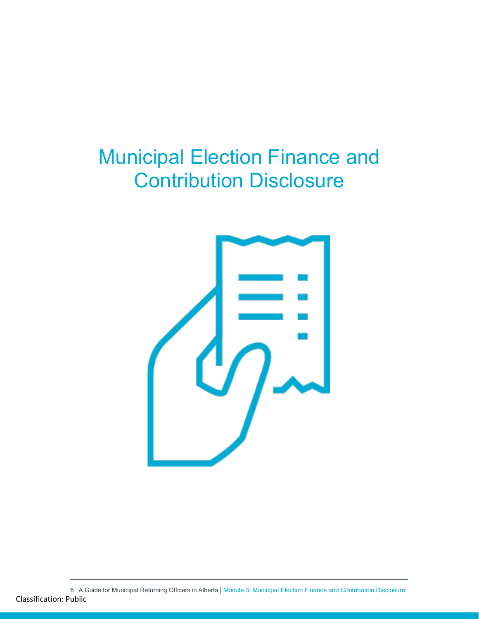# Municipal Election Finance and Contribution Disclosure



6 A Guide for Municipal Returning Officers in Alberta | Module 3: Municipal Election Finance and Contribution Disclosure Classification: Public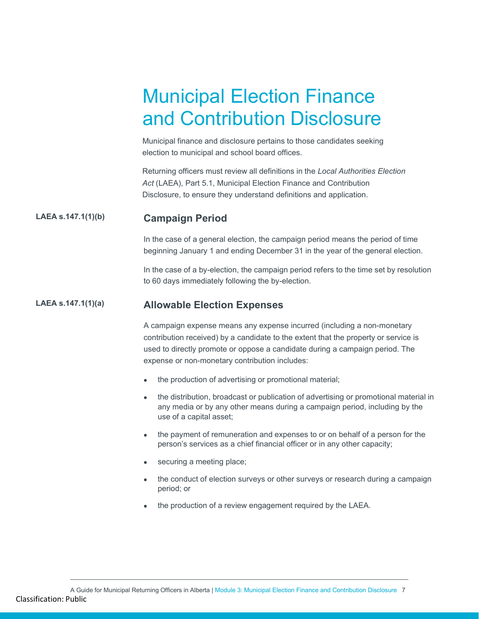# Municipal Election Finance and Contribution Disclosure

Municipal finance and disclosure pertains to those candidates seeking election to municipal and school board offices.

Returning officers must review all definitions in the *Local Authorities Election Act* (LAEA), Part 5.1, Municipal Election Finance and Contribution Disclosure, to ensure they understand definitions and application.

# **LAEA s.147.1(1)(b) Campaign Period**

In the case of a general election, the campaign period means the period of time beginning January 1 and ending December 31 in the year of the general election.

In the case of a by-election, the campaign period refers to the time set by resolution to 60 days immediately following the by-election.

## **LAEA s.147.1(1)(a) Allowable Election Expenses**

A campaign expense means any expense incurred (including a non-monetary contribution received) by a candidate to the extent that the property or service is used to directly promote or oppose a candidate during a campaign period. The expense or non-monetary contribution includes:

- the production of advertising or promotional material;
- the distribution, broadcast or publication of advertising or promotional material in any media or by any other means during a campaign period, including by the use of a capital asset;
- the payment of remuneration and expenses to or on behalf of a person for the person's services as a chief financial officer or in any other capacity;
- securing a meeting place;
- the conduct of election surveys or other surveys or research during a campaign period; or
- the production of a review engagement required by the LAEA.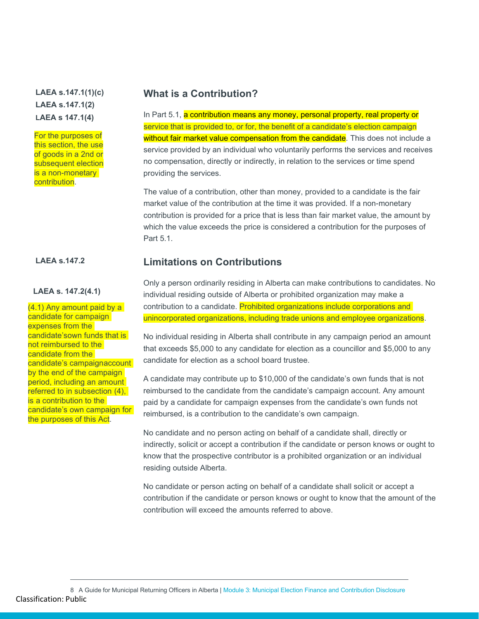# **LAEA s.147.1(1)(c) LAEA s.147.1(2) LAEA s 147.1(4)**

For the purposes of this section, the use of goods in a 2nd or subsequent election is a non-monetary contribution.

#### **LAEA s. 147.2(4.1)**

(4.1) Any amount paid by a candidate for campaign expenses from the candidate'sown funds that is not reimbursed to the candidate from the candidate's campaignaccount by the end of the campaign period, including an amount referred to in subsection (4), is a contribution to the candidate's own campaign for the purposes of this Act.

# **What is a Contribution?**

service that is provided to, or for, the benefit of a candidate's election campaign In Part 5.1, a contribution means any money, personal property, real property or without fair market value compensation from the candidate. This does not include a service provided by an individual who voluntarily performs the services and receives no compensation, directly or indirectly, in relation to the services or time spend providing the services.

The value of a contribution, other than money, provided to a candidate is the fair market value of the contribution at the time it was provided. If a non-monetary contribution is provided for a price that is less than fair market value, the amount by which the value exceeds the price is considered a contribution for the purposes of Part 5.1.

# **LAEA s.147.2 Limitations on Contributions**

Only a person ordinarily residing in Alberta can make contributions to candidates. No individual residing outside of Alberta or prohibited organization may make a contribution to a candidate. Prohibited organizations include corporations and unincorporated organizations, including trade unions and employee organizations.

No individual residing in Alberta shall contribute in any campaign period an amount that exceeds \$5,000 to any candidate for election as a councillor and \$5,000 to any candidate for election as a school board trustee.

A candidate may contribute up to \$10,000 of the candidate's own funds that is not reimbursed to the candidate from the candidate's campaign account. Any amount paid by a candidate for campaign expenses from the candidate's own funds not reimbursed, is a contribution to the candidate's own campaign.

No candidate and no person acting on behalf of a candidate shall, directly or indirectly, solicit or accept a contribution if the candidate or person knows or ought to know that the prospective contributor is a prohibited organization or an individual residing outside Alberta.

No candidate or person acting on behalf of a candidate shall solicit or accept a contribution if the candidate or person knows or ought to know that the amount of the contribution will exceed the amounts referred to above.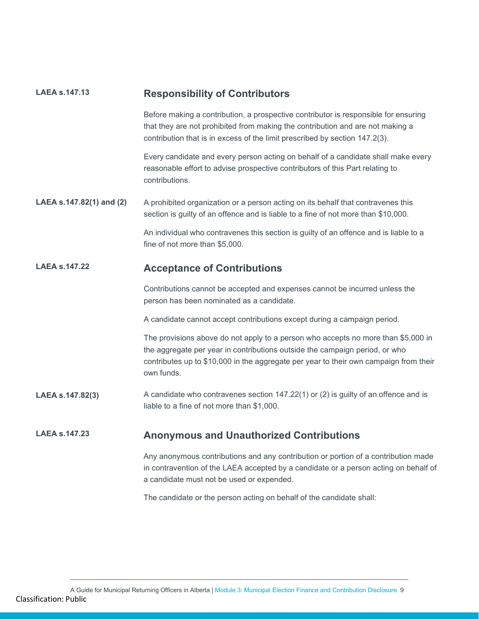| <b>LAEA s.147.13</b>     | <b>Responsibility of Contributors</b>                                                                                                                                                                                                                                   |  |  |
|--------------------------|-------------------------------------------------------------------------------------------------------------------------------------------------------------------------------------------------------------------------------------------------------------------------|--|--|
|                          | Before making a contribution, a prospective contributor is responsible for ensuring<br>that they are not prohibited from making the contribution and are not making a<br>contribution that is in excess of the limit prescribed by section 147.2(3).                    |  |  |
|                          | Every candidate and every person acting on behalf of a candidate shall make every<br>reasonable effort to advise prospective contributors of this Part relating to<br>contributions.                                                                                    |  |  |
| LAEA s.147.82(1) and (2) | A prohibited organization or a person acting on its behalf that contravenes this<br>section is guilty of an offence and is liable to a fine of not more than \$10,000.                                                                                                  |  |  |
|                          | An individual who contravenes this section is guilty of an offence and is liable to a<br>fine of not more than \$5,000.                                                                                                                                                 |  |  |
| <b>LAEA s.147.22</b>     | <b>Acceptance of Contributions</b>                                                                                                                                                                                                                                      |  |  |
|                          | Contributions cannot be accepted and expenses cannot be incurred unless the<br>person has been nominated as a candidate.                                                                                                                                                |  |  |
|                          | A candidate cannot accept contributions except during a campaign period.                                                                                                                                                                                                |  |  |
|                          | The provisions above do not apply to a person who accepts no more than \$5,000 in<br>the aggregate per year in contributions outside the campaign period, or who<br>contributes up to \$10,000 in the aggregate per year to their own campaign from their<br>own funds. |  |  |
| LAEA s.147.82(3)         | A candidate who contravenes section $147.22(1)$ or (2) is guilty of an offence and is<br>liable to a fine of not more than \$1,000.                                                                                                                                     |  |  |
| <b>LAEA s.147.23</b>     | <b>Anonymous and Unauthorized Contributions</b>                                                                                                                                                                                                                         |  |  |
|                          | Any anonymous contributions and any contribution or portion of a contribution made<br>in contravention of the LAEA accepted by a candidate or a person acting on behalf of<br>a candidate must not be used or expended.                                                 |  |  |
|                          | The candidate or the person acting on behalf of the candidate shall:                                                                                                                                                                                                    |  |  |
|                          |                                                                                                                                                                                                                                                                         |  |  |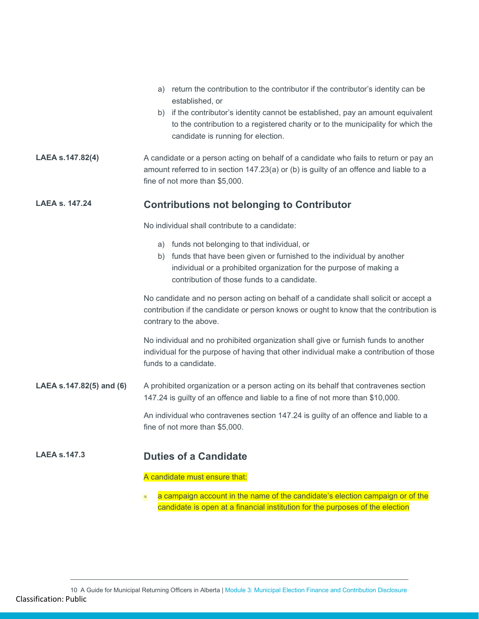|                          | a) return the contribution to the contributor if the contributor's identity can be<br>established, or                                                                                                                                          |  |  |  |
|--------------------------|------------------------------------------------------------------------------------------------------------------------------------------------------------------------------------------------------------------------------------------------|--|--|--|
|                          | b) if the contributor's identity cannot be established, pay an amount equivalent<br>to the contribution to a registered charity or to the municipality for which the<br>candidate is running for election.                                     |  |  |  |
| LAEA s.147.82(4)         | A candidate or a person acting on behalf of a candidate who fails to return or pay an<br>amount referred to in section 147.23(a) or (b) is guilty of an offence and liable to a<br>fine of not more than \$5,000.                              |  |  |  |
| <b>LAEA s. 147.24</b>    | <b>Contributions not belonging to Contributor</b>                                                                                                                                                                                              |  |  |  |
|                          | No individual shall contribute to a candidate:                                                                                                                                                                                                 |  |  |  |
|                          | a) funds not belonging to that individual, or<br>b) funds that have been given or furnished to the individual by another<br>individual or a prohibited organization for the purpose of making a<br>contribution of those funds to a candidate. |  |  |  |
|                          | No candidate and no person acting on behalf of a candidate shall solicit or accept a<br>contribution if the candidate or person knows or ought to know that the contribution is<br>contrary to the above.                                      |  |  |  |
|                          | No individual and no prohibited organization shall give or furnish funds to another<br>individual for the purpose of having that other individual make a contribution of those<br>funds to a candidate.                                        |  |  |  |
| LAEA s.147.82(5) and (6) | A prohibited organization or a person acting on its behalf that contravenes section<br>147.24 is guilty of an offence and liable to a fine of not more than \$10,000.                                                                          |  |  |  |
|                          | An individual who contravenes section 147.24 is guilty of an offence and liable to a<br>fine of not more than \$5,000.                                                                                                                         |  |  |  |
| $LAEA$ s. 147.3          | <b>Duties of a Candidate</b>                                                                                                                                                                                                                   |  |  |  |
|                          | A candidate must ensure that:                                                                                                                                                                                                                  |  |  |  |
|                          | a campaign account in the name of the candidate's election campaign or of the<br>$\bullet$<br>candidate is open at a financial institution for the purposes of the election                                                                    |  |  |  |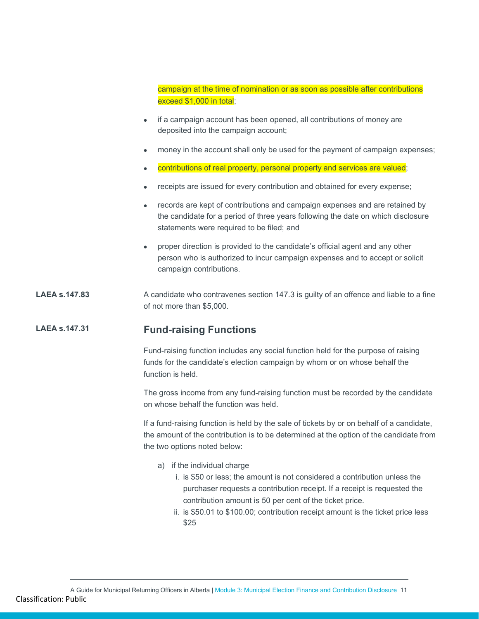campaign at the time of nomination or as soon as possible after contributions exceed \$1,000 in total;

- if a campaign account has been opened, all contributions of money are deposited into the campaign account;
- money in the account shall only be used for the payment of campaign expenses;
- contributions of real property, personal property and services are valued;
- receipts are issued for every contribution and obtained for every expense;
- records are kept of contributions and campaign expenses and are retained by the candidate for a period of three years following the date on which disclosure statements were required to be filed; and
- proper direction is provided to the candidate's official agent and any other person who is authorized to incur campaign expenses and to accept or solicit campaign contributions.

### **LAEA** s.147.83 A candidate who contravenes section 147.3 is guilty of an offence and liable to a fine of not more than \$5,000.

# **LAEA s.147.31 Fund-raising Functions**

Fund-raising function includes any social function held for the purpose of raising funds for the candidate's election campaign by whom or on whose behalf the function is held.

The gross income from any fund-raising function must be recorded by the candidate on whose behalf the function was held.

If a fund-raising function is held by the sale of tickets by or on behalf of a candidate, the amount of the contribution is to be determined at the option of the candidate from the two options noted below:

- a) if the individual charge
	- i. is \$50 or less; the amount is not considered a contribution unless the purchaser requests a contribution receipt. If a receipt is requested the contribution amount is 50 per cent of the ticket price.
	- ii. is \$50.01 to \$100.00; contribution receipt amount is the ticket price less \$25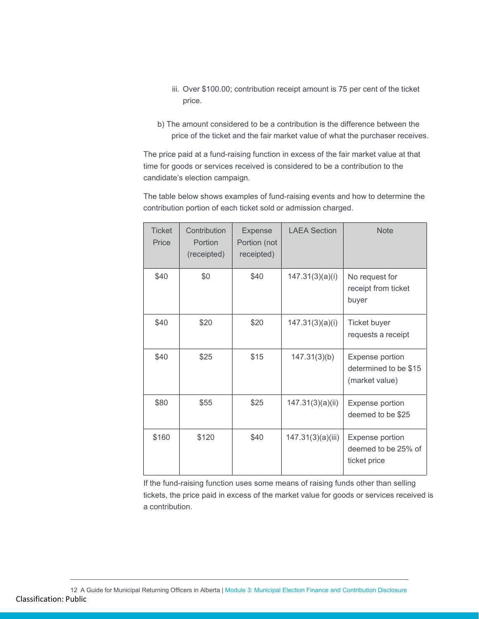- iii. Over \$100.00; contribution receipt amount is 75 per cent of the ticket price.
- b) The amount considered to be a contribution is the difference between the price of the ticket and the fair market value of what the purchaser receives.

The price paid at a fund-raising function in excess of the fair market value at that time for goods or services received is considered to be a contribution to the candidate's election campaign.

The table below shows examples of fund-raising events and how to determine the contribution portion of each ticket sold or admission charged.

| <b>Ticket</b><br>Price | Contribution<br>Portion<br>(receipted) | <b>Expense</b><br>Portion (not<br>receipted) | <b>LAEA Section</b> | <b>Note</b>                                                |
|------------------------|----------------------------------------|----------------------------------------------|---------------------|------------------------------------------------------------|
| \$40                   | \$0                                    | \$40                                         | 147.31(3)(a)(i)     | No request for<br>receipt from ticket<br>buyer             |
| \$40                   | \$20                                   | \$20                                         | 147.31(3)(a)(i)     | Ticket buyer<br>requests a receipt                         |
| \$40                   | \$25                                   | \$15                                         | 147.31(3)(b)        | Expense portion<br>determined to be \$15<br>(market value) |
| \$80                   | \$55                                   | \$25                                         | 147.31(3)(a)(ii)    | Expense portion<br>deemed to be \$25                       |
| \$160                  | \$120                                  | \$40                                         | 147.31(3)(a)(iii)   | Expense portion<br>deemed to be 25% of<br>ticket price     |

If the fund-raising function uses some means of raising funds other than selling tickets, the price paid in excess of the market value for goods or services received is a contribution.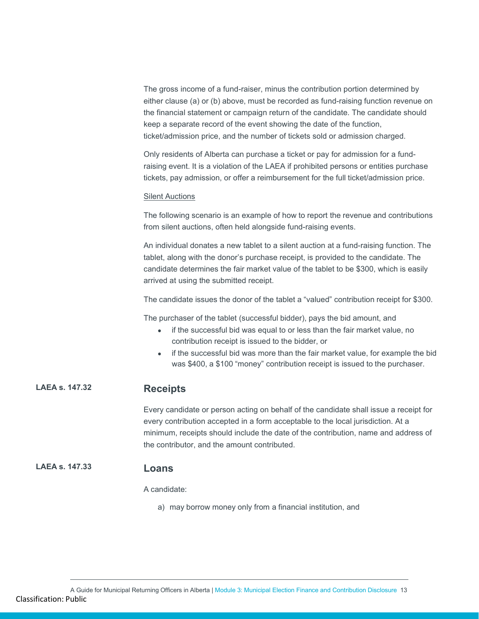The gross income of a fund-raiser, minus the contribution portion determined by either clause (a) or (b) above, must be recorded as fund-raising function revenue on the financial statement or campaign return of the candidate. The candidate should keep a separate record of the event showing the date of the function, ticket/admission price, and the number of tickets sold or admission charged.

Only residents of Alberta can purchase a ticket or pay for admission for a fundraising event. It is a violation of the LAEA if prohibited persons or entities purchase tickets, pay admission, or offer a reimbursement for the full ticket/admission price.

### Silent Auctions

The following scenario is an example of how to report the revenue and contributions from silent auctions, often held alongside fund-raising events.

An individual donates a new tablet to a silent auction at a fund-raising function. The tablet, along with the donor's purchase receipt, is provided to the candidate. The candidate determines the fair market value of the tablet to be \$300, which is easily arrived at using the submitted receipt.

The candidate issues the donor of the tablet a "valued" contribution receipt for \$300.

The purchaser of the tablet (successful bidder), pays the bid amount, and

- if the successful bid was equal to or less than the fair market value, no contribution receipt is issued to the bidder, or
- if the successful bid was more than the fair market value, for example the bid was \$400, a \$100 "money" contribution receipt is issued to the purchaser.

# **LAEA s. 147.32 Receipts**

Every candidate or person acting on behalf of the candidate shall issue a receipt for every contribution accepted in a form acceptable to the local jurisdiction. At a minimum, receipts should include the date of the contribution, name and address of the contributor, and the amount contributed.

# **LAEA s. 147.33 Loans**

A candidate:

a) may borrow money only from a financial institution, and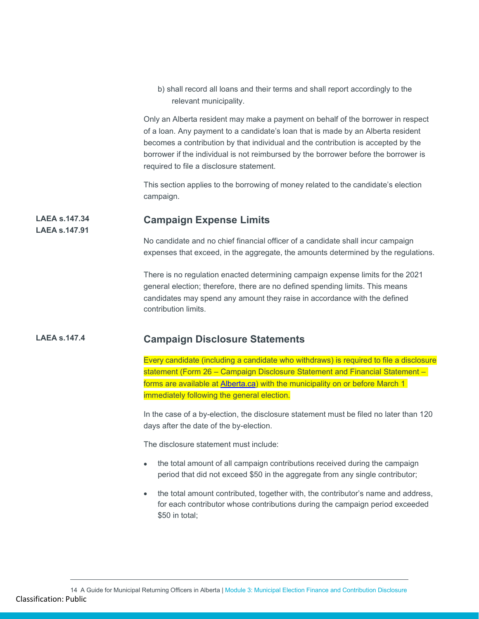b) shall record all loans and their terms and shall report accordingly to the relevant municipality.

Only an Alberta resident may make a payment on behalf of the borrower in respect of a loan. Any payment to a candidate's loan that is made by an Alberta resident becomes a contribution by that individual and the contribution is accepted by the borrower if the individual is not reimbursed by the borrower before the borrower is required to file a disclosure statement.

This section applies to the borrowing of money related to the candidate's election campaign.

#### **LAEA s.147.34 Campaign Expense Limits**

**LAEA s.147.91**

No candidate and no chief financial officer of a candidate shall incur campaign expenses that exceed, in the aggregate, the amounts determined by the regulations.

There is no regulation enacted determining campaign expense limits for the 2021 general election; therefore, there are no defined spending limits. This means candidates may spend any amount they raise in accordance with the defined contribution limits.

# **LAEA s.147.4 Campaign Disclosure Statements**

Every candidate (including a candidate who withdraws) is required to file a disclosure statement (Form 26 – Campaign Disclosure Statement and Financial Statement – forms are available at [Alberta.ca\)](https://www.alberta.ca/municipal-election-forms.aspx) with the municipality on or before March 1 immediately following the general election.

In the case of a by-election, the disclosure statement must be filed no later than 120 days after the date of the by-election.

The disclosure statement must include:

- the total amount of all campaign contributions received during the campaign period that did not exceed \$50 in the aggregate from any single contributor;
- the total amount contributed, together with, the contributor's name and address, for each contributor whose contributions during the campaign period exceeded \$50 in total;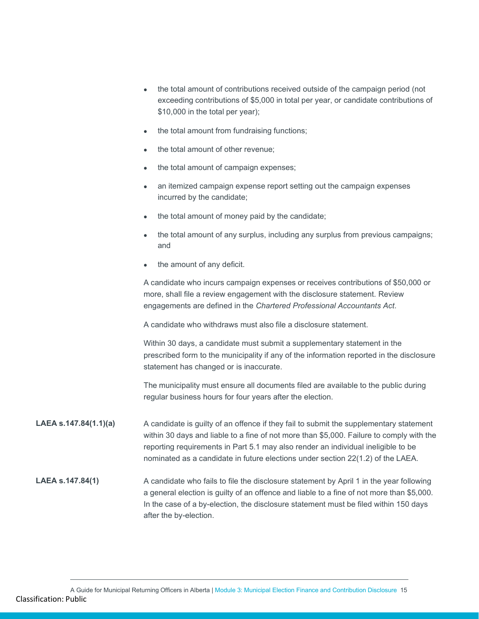| • the total amount of contributions received outside of the campaign period (not    |
|-------------------------------------------------------------------------------------|
| exceeding contributions of \$5,000 in total per year, or candidate contributions of |
| \$10,000 in the total per year);                                                    |

- the total amount from fundraising functions;
- the total amount of other revenue:
- the total amount of campaign expenses;
- an itemized campaign expense report setting out the campaign expenses incurred by the candidate;
- the total amount of money paid by the candidate;
- the total amount of any surplus, including any surplus from previous campaigns; and
- the amount of any deficit.

A candidate who incurs campaign expenses or receives contributions of \$50,000 or more, shall file a review engagement with the disclosure statement. Review engagements are defined in the *Chartered Professional Accountants Act*.

A candidate who withdraws must also file a disclosure statement.

Within 30 days, a candidate must submit a supplementary statement in the prescribed form to the municipality if any of the information reported in the disclosure statement has changed or is inaccurate.

The municipality must ensure all documents filed are available to the public during regular business hours for four years after the election.

**LAEA s.147.84(1.1)(a)** A candidate is guilty of an offence if they fail to submit the supplementary statement within 30 days and liable to a fine of not more than \$5,000. Failure to comply with the reporting requirements in Part 5.1 may also render an individual ineligible to be nominated as a candidate in future elections under section 22(1.2) of the LAEA.

# **LAEA s.147.84(1)** A candidate who fails to file the disclosure statement by April 1 in the year following a general election is guilty of an offence and liable to a fine of not more than \$5,000. In the case of a by-election, the disclosure statement must be filed within 150 days after the by-election.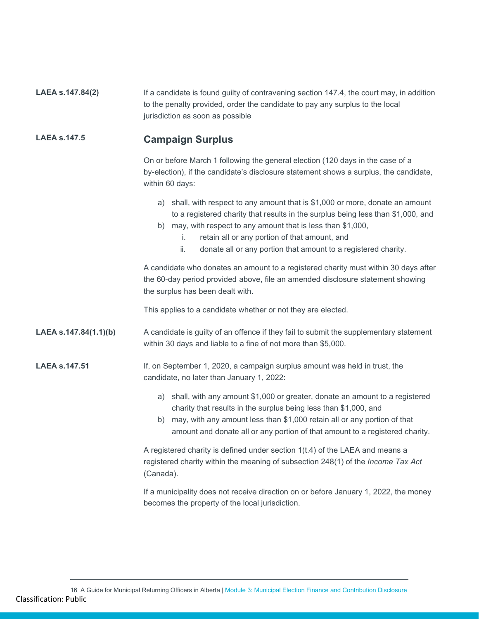| LAEA s.147.84(2)      | If a candidate is found guilty of contravening section 147.4, the court may, in addition<br>to the penalty provided, order the candidate to pay any surplus to the local<br>jurisdiction as soon as possible                                                                                                                                                        |  |  |
|-----------------------|---------------------------------------------------------------------------------------------------------------------------------------------------------------------------------------------------------------------------------------------------------------------------------------------------------------------------------------------------------------------|--|--|
| <b>LAEA s.147.5</b>   | <b>Campaign Surplus</b>                                                                                                                                                                                                                                                                                                                                             |  |  |
|                       | On or before March 1 following the general election (120 days in the case of a<br>by-election), if the candidate's disclosure statement shows a surplus, the candidate,<br>within 60 days:                                                                                                                                                                          |  |  |
|                       | a) shall, with respect to any amount that is \$1,000 or more, donate an amount<br>to a registered charity that results in the surplus being less than \$1,000, and<br>b) may, with respect to any amount that is less than \$1,000,<br>retain all or any portion of that amount, and<br>İ.<br>ii.<br>donate all or any portion that amount to a registered charity. |  |  |
|                       | A candidate who donates an amount to a registered charity must within 30 days after<br>the 60-day period provided above, file an amended disclosure statement showing<br>the surplus has been dealt with.                                                                                                                                                           |  |  |
|                       | This applies to a candidate whether or not they are elected.                                                                                                                                                                                                                                                                                                        |  |  |
| LAEA s.147.84(1.1)(b) | A candidate is guilty of an offence if they fail to submit the supplementary statement<br>within 30 days and liable to a fine of not more than \$5,000.                                                                                                                                                                                                             |  |  |
| <b>LAEA s.147.51</b>  | If, on September 1, 2020, a campaign surplus amount was held in trust, the<br>candidate, no later than January 1, 2022:                                                                                                                                                                                                                                             |  |  |
|                       | a) shall, with any amount \$1,000 or greater, donate an amount to a registered<br>charity that results in the surplus being less than \$1,000, and<br>b) may, with any amount less than \$1,000 retain all or any portion of that<br>amount and donate all or any portion of that amount to a registered charity.                                                   |  |  |
|                       | A registered charity is defined under section 1(t.4) of the LAEA and means a<br>registered charity within the meaning of subsection 248(1) of the Income Tax Act<br>(Canada).                                                                                                                                                                                       |  |  |
|                       | If a municipality does not receive direction on or before January 1, 2022, the money<br>becomes the property of the local jurisdiction.                                                                                                                                                                                                                             |  |  |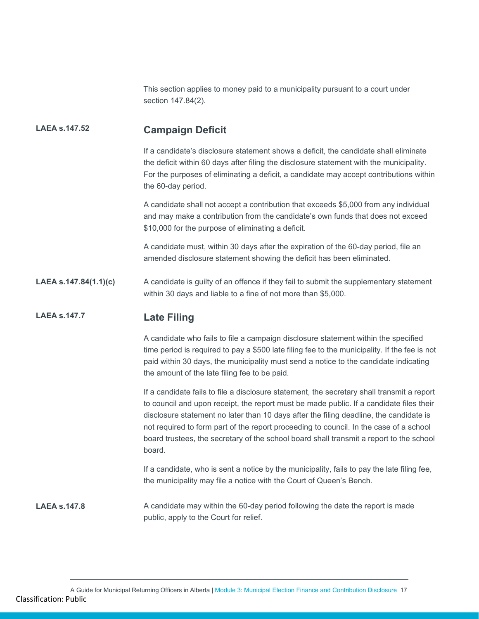This section applies to money paid to a municipality pursuant to a court under section 147.84(2).

# **LAEA s.147.52 Campaign Deficit**

If a candidate's disclosure statement shows a deficit, the candidate shall eliminate the deficit within 60 days after filing the disclosure statement with the municipality. For the purposes of eliminating a deficit, a candidate may accept contributions within the 60-day period.

A candidate shall not accept a contribution that exceeds \$5,000 from any individual and may make a contribution from the candidate's own funds that does not exceed \$10,000 for the purpose of eliminating a deficit.

A candidate must, within 30 days after the expiration of the 60-day period, file an amended disclosure statement showing the deficit has been eliminated.

**LAEA s.147.84(1.1)(c)** A candidate is guilty of an offence if they fail to submit the supplementary statement within 30 days and liable to a fine of not more than \$5,000.

# **LAEA s.147.7 Late Filing**

A candidate who fails to file a campaign disclosure statement within the specified time period is required to pay a \$500 late filing fee to the municipality. If the fee is not paid within 30 days, the municipality must send a notice to the candidate indicating the amount of the late filing fee to be paid.

If a candidate fails to file a disclosure statement, the secretary shall transmit a report to council and upon receipt, the report must be made public. If a candidate files their disclosure statement no later than 10 days after the filing deadline, the candidate is not required to form part of the report proceeding to council. In the case of a school board trustees, the secretary of the school board shall transmit a report to the school board.

If a candidate, who is sent a notice by the municipality, fails to pay the late filing fee, the municipality may file a notice with the Court of Queen's Bench.

**LAEA** s.147.8 A candidate may within the 60-day period following the date the report is made public, apply to the Court for relief.